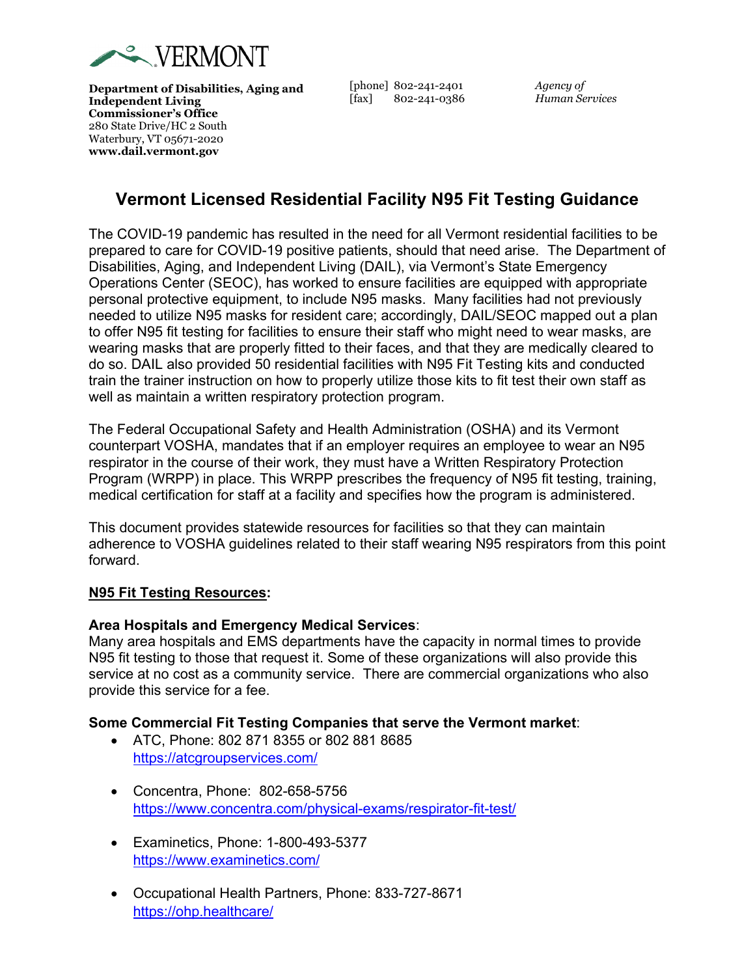

**Department of Disabilities, Aging and Independent Living Commissioner's Office** 280 State Drive/HC 2 South Waterbury, VT 05671-2020 **www.dail.vermont.gov**

[phone] 802-241-2401 [fax] 802-241-0386 *Agency of Human Services*

# **Vermont Licensed Residential Facility N95 Fit Testing Guidance**

The COVID-19 pandemic has resulted in the need for all Vermont residential facilities to be prepared to care for COVID-19 positive patients, should that need arise. The Department of Disabilities, Aging, and Independent Living (DAIL), via Vermont's State Emergency Operations Center (SEOC), has worked to ensure facilities are equipped with appropriate personal protective equipment, to include N95 masks. Many facilities had not previously needed to utilize N95 masks for resident care; accordingly, DAIL/SEOC mapped out a plan to offer N95 fit testing for facilities to ensure their staff who might need to wear masks, are wearing masks that are properly fitted to their faces, and that they are medically cleared to do so. DAIL also provided 50 residential facilities with N95 Fit Testing kits and conducted train the trainer instruction on how to properly utilize those kits to fit test their own staff as well as maintain a written respiratory protection program.

The Federal Occupational Safety and Health Administration (OSHA) and its Vermont counterpart VOSHA, mandates that if an employer requires an employee to wear an N95 respirator in the course of their work, they must have a Written Respiratory Protection Program (WRPP) in place. This WRPP prescribes the frequency of N95 fit testing, training, medical certification for staff at a facility and specifies how the program is administered.

This document provides statewide resources for facilities so that they can maintain adherence to VOSHA guidelines related to their staff wearing N95 respirators from this point forward.

#### **N95 Fit Testing Resources:**

#### **Area Hospitals and Emergency Medical Services**:

Many area hospitals and EMS departments have the capacity in normal times to provide N95 fit testing to those that request it. Some of these organizations will also provide this service at no cost as a community service. There are commercial organizations who also provide this service for a fee.

#### **Some Commercial Fit Testing Companies that serve the Vermont market**:

- ATC, Phone: 802 871 8355 or 802 881 8685 <https://atcgroupservices.com/>
- Concentra, Phone: 802-658-5756 <https://www.concentra.com/physical-exams/respirator-fit-test/>
- Examinetics, Phone: 1-800-493-5377 <https://www.examinetics.com/>
- Occupational Health Partners, Phone: 833-727-8671 <https://ohp.healthcare/>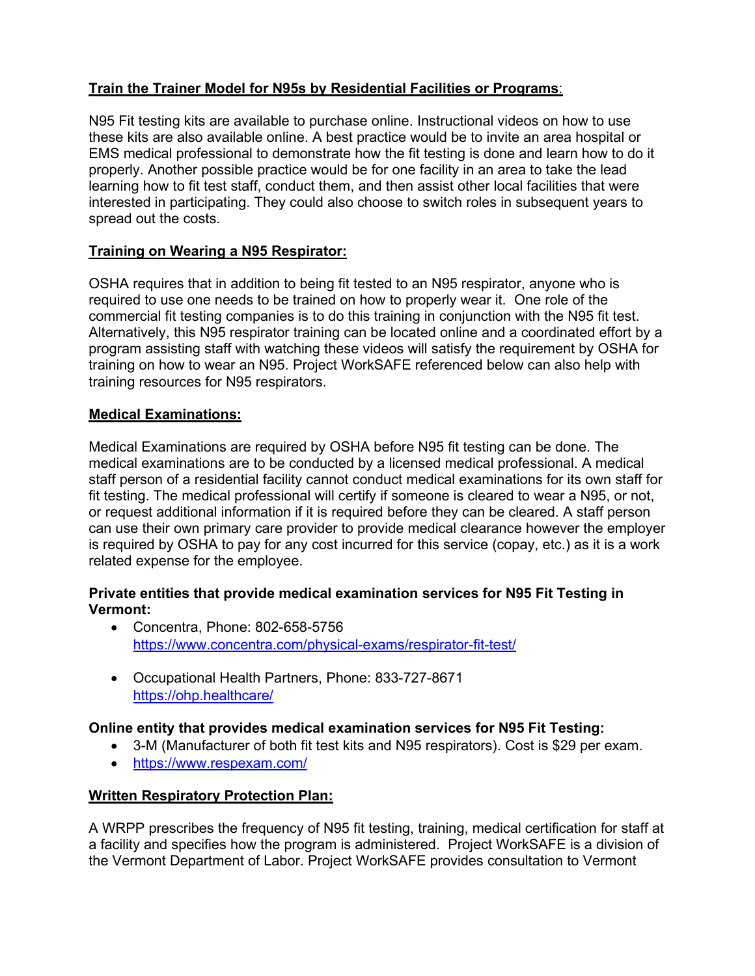# **Train the Trainer Model for N95s by Residential Facilities or Programs**:

N95 Fit testing kits are available to purchase online. Instructional videos on how to use these kits are also available online. A best practice would be to invite an area hospital or EMS medical professional to demonstrate how the fit testing is done and learn how to do it properly. Another possible practice would be for one facility in an area to take the lead learning how to fit test staff, conduct them, and then assist other local facilities that were interested in participating. They could also choose to switch roles in subsequent years to spread out the costs.

# **Training on Wearing a N95 Respirator:**

OSHA requires that in addition to being fit tested to an N95 respirator, anyone who is required to use one needs to be trained on how to properly wear it. One role of the commercial fit testing companies is to do this training in conjunction with the N95 fit test. Alternatively, this N95 respirator training can be located online and a coordinated effort by a program assisting staff with watching these videos will satisfy the requirement by OSHA for training on how to wear an N95. Project WorkSAFE referenced below can also help with training resources for N95 respirators.

#### **Medical Examinations:**

Medical Examinations are required by OSHA before N95 fit testing can be done. The medical examinations are to be conducted by a licensed medical professional. A medical staff person of a residential facility cannot conduct medical examinations for its own staff for fit testing. The medical professional will certify if someone is cleared to wear a N95, or not, or request additional information if it is required before they can be cleared. A staff person can use their own primary care provider to provide medical clearance however the employer is required by OSHA to pay for any cost incurred for this service (copay, etc.) as it is a work related expense for the employee.

# **Private entities that provide medical examination services for N95 Fit Testing in Vermont:**

- Concentra, Phone: 802-658-5756 <https://www.concentra.com/physical-exams/respirator-fit-test/>
- Occupational Health Partners, Phone: 833-727-8671 <https://ohp.healthcare/>

#### **Online entity that provides medical examination services for N95 Fit Testing:**

- 3-M (Manufacturer of both fit test kits and N95 respirators). Cost is \$29 per exam.
- <https://www.respexam.com/>

# **Written Respiratory Protection Plan:**

A WRPP prescribes the frequency of N95 fit testing, training, medical certification for staff at a facility and specifies how the program is administered. Project WorkSAFE is a division of the Vermont Department of Labor. Project WorkSAFE provides consultation to Vermont